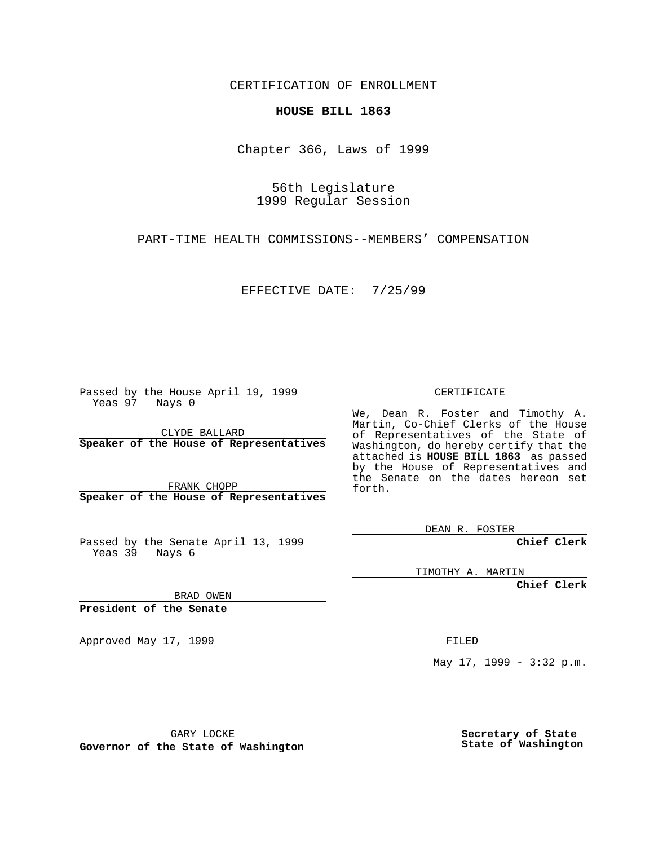CERTIFICATION OF ENROLLMENT

## **HOUSE BILL 1863**

Chapter 366, Laws of 1999

56th Legislature 1999 Regular Session

PART-TIME HEALTH COMMISSIONS--MEMBERS' COMPENSATION

EFFECTIVE DATE: 7/25/99

Passed by the House April 19, 1999 Yeas 97 Nays 0

CLYDE BALLARD **Speaker of the House of Representatives**

FRANK CHOPP **Speaker of the House of Representatives**

Passed by the Senate April 13, 1999 Yeas 39 Nays 6

CERTIFICATE

We, Dean R. Foster and Timothy A. Martin, Co-Chief Clerks of the House of Representatives of the State of Washington, do hereby certify that the attached is **HOUSE BILL 1863** as passed by the House of Representatives and the Senate on the dates hereon set forth.

DEAN R. FOSTER

**Chief Clerk**

TIMOTHY A. MARTIN

**Chief Clerk**

BRAD OWEN

**President of the Senate**

Approved May 17, 1999 **FILED** 

May 17, 1999 - 3:32 p.m.

GARY LOCKE

**Governor of the State of Washington**

**Secretary of State State of Washington**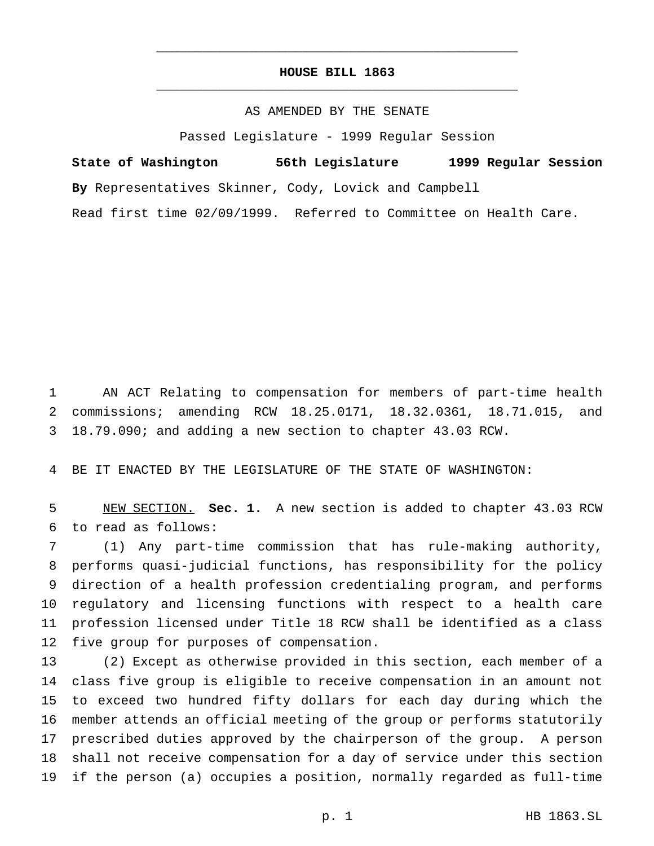## **HOUSE BILL 1863** \_\_\_\_\_\_\_\_\_\_\_\_\_\_\_\_\_\_\_\_\_\_\_\_\_\_\_\_\_\_\_\_\_\_\_\_\_\_\_\_\_\_\_\_\_\_\_

\_\_\_\_\_\_\_\_\_\_\_\_\_\_\_\_\_\_\_\_\_\_\_\_\_\_\_\_\_\_\_\_\_\_\_\_\_\_\_\_\_\_\_\_\_\_\_

AS AMENDED BY THE SENATE

Passed Legislature - 1999 Regular Session

**State of Washington 56th Legislature 1999 Regular Session By** Representatives Skinner, Cody, Lovick and Campbell Read first time 02/09/1999. Referred to Committee on Health Care.

 AN ACT Relating to compensation for members of part-time health commissions; amending RCW 18.25.0171, 18.32.0361, 18.71.015, and 18.79.090; and adding a new section to chapter 43.03 RCW.

BE IT ENACTED BY THE LEGISLATURE OF THE STATE OF WASHINGTON:

 NEW SECTION. **Sec. 1.** A new section is added to chapter 43.03 RCW to read as follows:

 (1) Any part-time commission that has rule-making authority, performs quasi-judicial functions, has responsibility for the policy direction of a health profession credentialing program, and performs regulatory and licensing functions with respect to a health care profession licensed under Title 18 RCW shall be identified as a class five group for purposes of compensation.

 (2) Except as otherwise provided in this section, each member of a class five group is eligible to receive compensation in an amount not to exceed two hundred fifty dollars for each day during which the member attends an official meeting of the group or performs statutorily prescribed duties approved by the chairperson of the group. A person shall not receive compensation for a day of service under this section if the person (a) occupies a position, normally regarded as full-time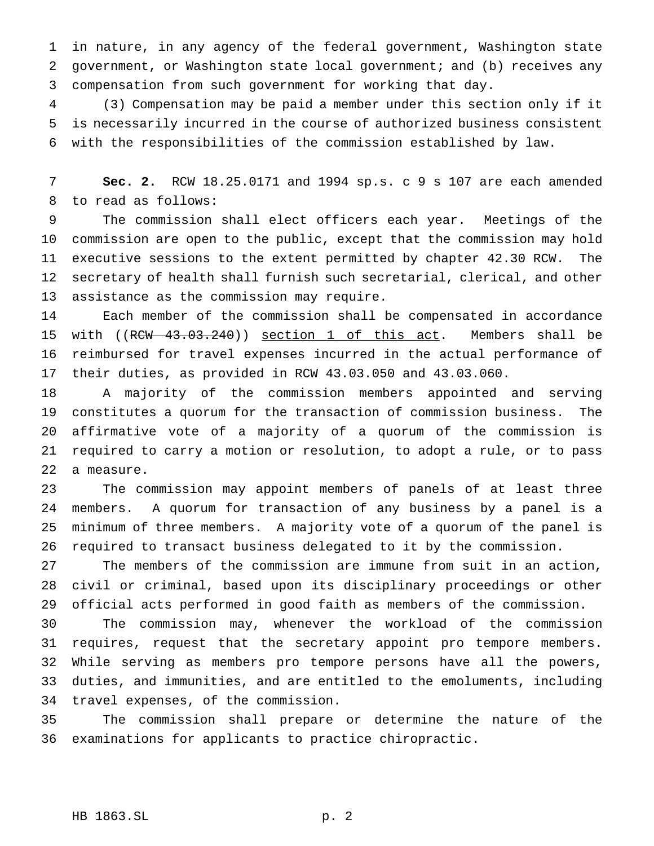in nature, in any agency of the federal government, Washington state government, or Washington state local government; and (b) receives any compensation from such government for working that day.

 (3) Compensation may be paid a member under this section only if it is necessarily incurred in the course of authorized business consistent with the responsibilities of the commission established by law.

 **Sec. 2.** RCW 18.25.0171 and 1994 sp.s. c 9 s 107 are each amended to read as follows:

 The commission shall elect officers each year. Meetings of the commission are open to the public, except that the commission may hold executive sessions to the extent permitted by chapter 42.30 RCW. The secretary of health shall furnish such secretarial, clerical, and other assistance as the commission may require.

 Each member of the commission shall be compensated in accordance with ((RCW 43.03.240)) section 1 of this act. Members shall be reimbursed for travel expenses incurred in the actual performance of their duties, as provided in RCW 43.03.050 and 43.03.060.

 A majority of the commission members appointed and serving constitutes a quorum for the transaction of commission business. The affirmative vote of a majority of a quorum of the commission is required to carry a motion or resolution, to adopt a rule, or to pass a measure.

 The commission may appoint members of panels of at least three members. A quorum for transaction of any business by a panel is a minimum of three members. A majority vote of a quorum of the panel is required to transact business delegated to it by the commission.

 The members of the commission are immune from suit in an action, civil or criminal, based upon its disciplinary proceedings or other official acts performed in good faith as members of the commission.

 The commission may, whenever the workload of the commission requires, request that the secretary appoint pro tempore members. While serving as members pro tempore persons have all the powers, duties, and immunities, and are entitled to the emoluments, including travel expenses, of the commission.

 The commission shall prepare or determine the nature of the examinations for applicants to practice chiropractic.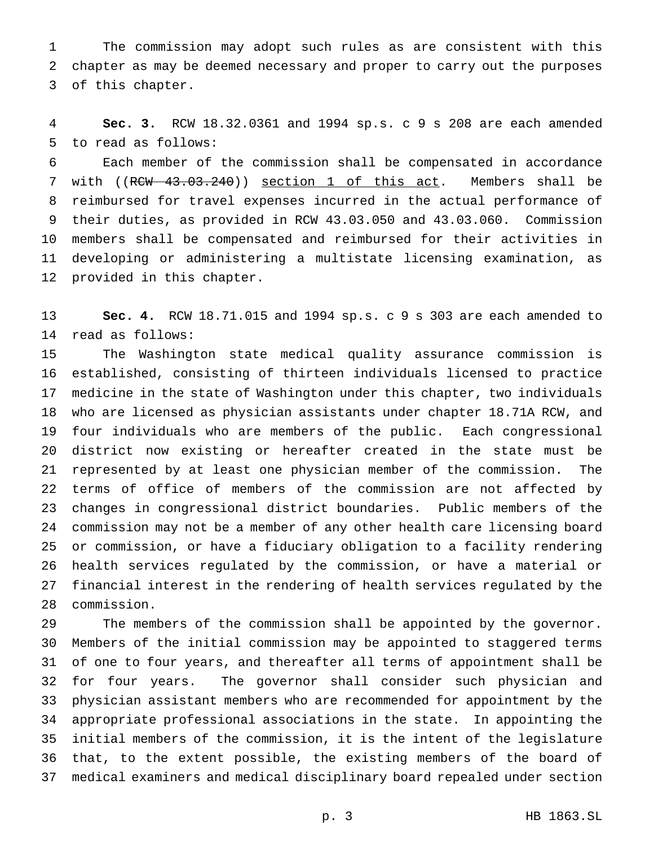The commission may adopt such rules as are consistent with this chapter as may be deemed necessary and proper to carry out the purposes of this chapter.

 **Sec. 3.** RCW 18.32.0361 and 1994 sp.s. c 9 s 208 are each amended to read as follows:

 Each member of the commission shall be compensated in accordance 7 with ((RCW 43.03.240)) section 1 of this act. Members shall be reimbursed for travel expenses incurred in the actual performance of their duties, as provided in RCW 43.03.050 and 43.03.060. Commission members shall be compensated and reimbursed for their activities in developing or administering a multistate licensing examination, as provided in this chapter.

 **Sec. 4.** RCW 18.71.015 and 1994 sp.s. c 9 s 303 are each amended to read as follows:

 The Washington state medical quality assurance commission is established, consisting of thirteen individuals licensed to practice medicine in the state of Washington under this chapter, two individuals who are licensed as physician assistants under chapter 18.71A RCW, and four individuals who are members of the public. Each congressional district now existing or hereafter created in the state must be represented by at least one physician member of the commission. The terms of office of members of the commission are not affected by changes in congressional district boundaries. Public members of the commission may not be a member of any other health care licensing board or commission, or have a fiduciary obligation to a facility rendering health services regulated by the commission, or have a material or financial interest in the rendering of health services regulated by the commission.

 The members of the commission shall be appointed by the governor. Members of the initial commission may be appointed to staggered terms of one to four years, and thereafter all terms of appointment shall be for four years. The governor shall consider such physician and physician assistant members who are recommended for appointment by the appropriate professional associations in the state. In appointing the initial members of the commission, it is the intent of the legislature that, to the extent possible, the existing members of the board of medical examiners and medical disciplinary board repealed under section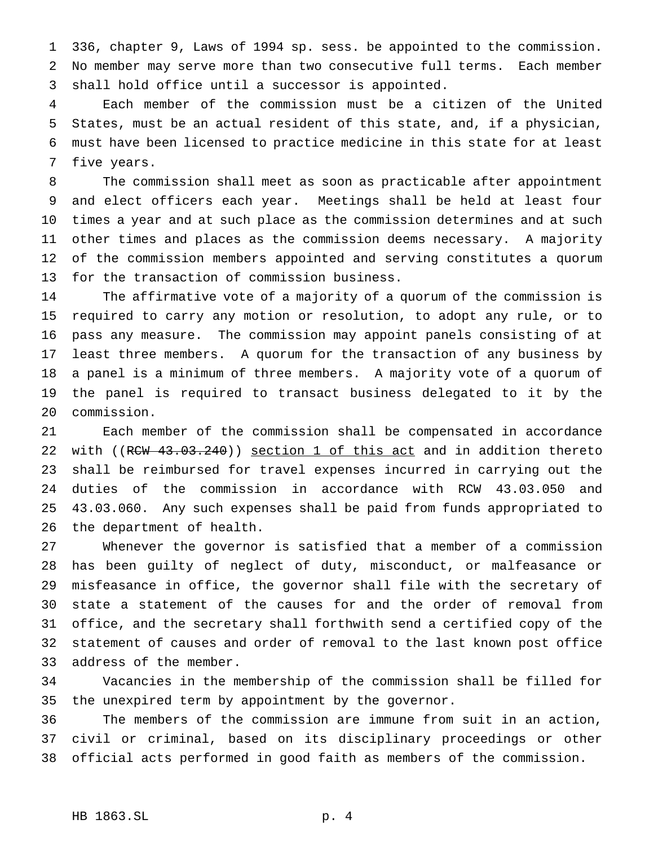336, chapter 9, Laws of 1994 sp. sess. be appointed to the commission. No member may serve more than two consecutive full terms. Each member shall hold office until a successor is appointed.

 Each member of the commission must be a citizen of the United States, must be an actual resident of this state, and, if a physician, must have been licensed to practice medicine in this state for at least five years.

 The commission shall meet as soon as practicable after appointment and elect officers each year. Meetings shall be held at least four times a year and at such place as the commission determines and at such other times and places as the commission deems necessary. A majority of the commission members appointed and serving constitutes a quorum for the transaction of commission business.

 The affirmative vote of a majority of a quorum of the commission is required to carry any motion or resolution, to adopt any rule, or to pass any measure. The commission may appoint panels consisting of at least three members. A quorum for the transaction of any business by a panel is a minimum of three members. A majority vote of a quorum of the panel is required to transact business delegated to it by the commission.

 Each member of the commission shall be compensated in accordance 22 with ((RCW 43.03.240)) section 1 of this act and in addition thereto shall be reimbursed for travel expenses incurred in carrying out the duties of the commission in accordance with RCW 43.03.050 and 43.03.060. Any such expenses shall be paid from funds appropriated to the department of health.

 Whenever the governor is satisfied that a member of a commission has been guilty of neglect of duty, misconduct, or malfeasance or misfeasance in office, the governor shall file with the secretary of state a statement of the causes for and the order of removal from office, and the secretary shall forthwith send a certified copy of the statement of causes and order of removal to the last known post office address of the member.

 Vacancies in the membership of the commission shall be filled for the unexpired term by appointment by the governor.

 The members of the commission are immune from suit in an action, civil or criminal, based on its disciplinary proceedings or other official acts performed in good faith as members of the commission.